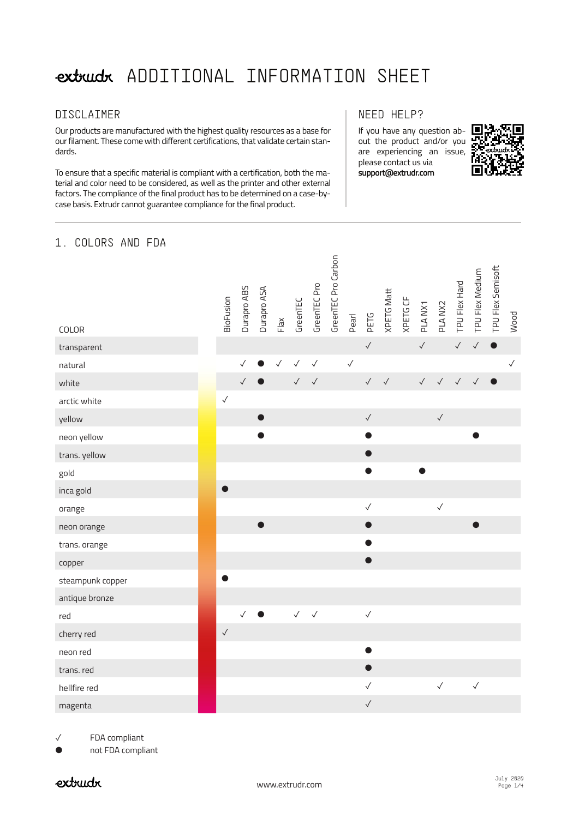## extruct ADDITIONAL INFORMATION SHEET

#### DISCLAIMER

Our products are manufactured with the highest quality resources as a base for our filament. These come with different certifications, that validate certain standards.

To ensure that a specific material is compliant with a certification, both the material and color need to be considered, as well as the printer and other external factors. The compliance of the final product has to be determined on a case-bycase basis. Extrudr cannot guarantee compliance for the final product.

#### NEED HELP?

If you have any question about the product and/or you are experiencing an issue, please contact us via **support@extrudr.com**



#### 1. COLORS AND FDA

| COLOR            | BioFusion    | Durapro ABS  | Durapro ASA | Flax         | GreenTEC     | GreenTEC Pro | GreenTEC Pro Carbon | Pearl        | PETG         | <b>XPETG Matt</b> | XPETG CF | PLANX1       | PLANX2       | TPU Flex Hard | TPU Flex Medium | TPU Flex Semisoft | Wood         |
|------------------|--------------|--------------|-------------|--------------|--------------|--------------|---------------------|--------------|--------------|-------------------|----------|--------------|--------------|---------------|-----------------|-------------------|--------------|
| transparent      |              |              |             |              |              |              |                     |              | $\checkmark$ |                   |          | $\checkmark$ |              | $\checkmark$  | $\checkmark$    | $\bullet$         |              |
| natural          |              | $\checkmark$ |             | $\checkmark$ | $\checkmark$ | $\checkmark$ |                     | $\checkmark$ |              |                   |          |              |              |               |                 |                   | $\checkmark$ |
| white            |              | $\checkmark$ |             |              | $\checkmark$ | $\checkmark$ |                     |              | $\checkmark$ | $\checkmark$      |          | $\checkmark$ | $\sqrt{ }$   | $\checkmark$  | $\checkmark$    | $\bullet$         |              |
| arctic white     | $\checkmark$ |              |             |              |              |              |                     |              |              |                   |          |              |              |               |                 |                   |              |
| yellow           |              |              |             |              |              |              |                     |              | $\checkmark$ |                   |          |              | $\checkmark$ |               |                 |                   |              |
| neon yellow      |              |              |             |              |              |              |                     |              |              |                   |          |              |              |               |                 |                   |              |
| trans. yellow    |              |              |             |              |              |              |                     |              |              |                   |          |              |              |               |                 |                   |              |
| gold             |              |              |             |              |              |              |                     |              |              |                   |          |              |              |               |                 |                   |              |
| inca gold        |              |              |             |              |              |              |                     |              |              |                   |          |              |              |               |                 |                   |              |
| orange           |              |              |             |              |              |              |                     |              | $\checkmark$ |                   |          |              | $\checkmark$ |               |                 |                   |              |
| neon orange      |              |              |             |              |              |              |                     |              |              |                   |          |              |              |               |                 |                   |              |
| trans. orange    |              |              |             |              |              |              |                     |              |              |                   |          |              |              |               |                 |                   |              |
| copper           |              |              |             |              |              |              |                     |              |              |                   |          |              |              |               |                 |                   |              |
| steampunk copper |              |              |             |              |              |              |                     |              |              |                   |          |              |              |               |                 |                   |              |
| antique bronze   |              |              |             |              |              |              |                     |              |              |                   |          |              |              |               |                 |                   |              |
| red              |              | $\checkmark$ | $\bullet$   |              | $\checkmark$ | $\checkmark$ |                     |              | $\checkmark$ |                   |          |              |              |               |                 |                   |              |
| cherry red       | $\checkmark$ |              |             |              |              |              |                     |              |              |                   |          |              |              |               |                 |                   |              |
| neon red         |              |              |             |              |              |              |                     |              |              |                   |          |              |              |               |                 |                   |              |
| trans. red       |              |              |             |              |              |              |                     |              |              |                   |          |              |              |               |                 |                   |              |
| hellfire red     |              |              |             |              |              |              |                     |              | $\checkmark$ |                   |          |              | $\checkmark$ |               | $\checkmark$    |                   |              |
| magenta          |              |              |             |              |              |              |                     |              | $\checkmark$ |                   |          |              |              |               |                 |                   |              |

✓ FDA compliant

not FDA compliant

### rhurtxo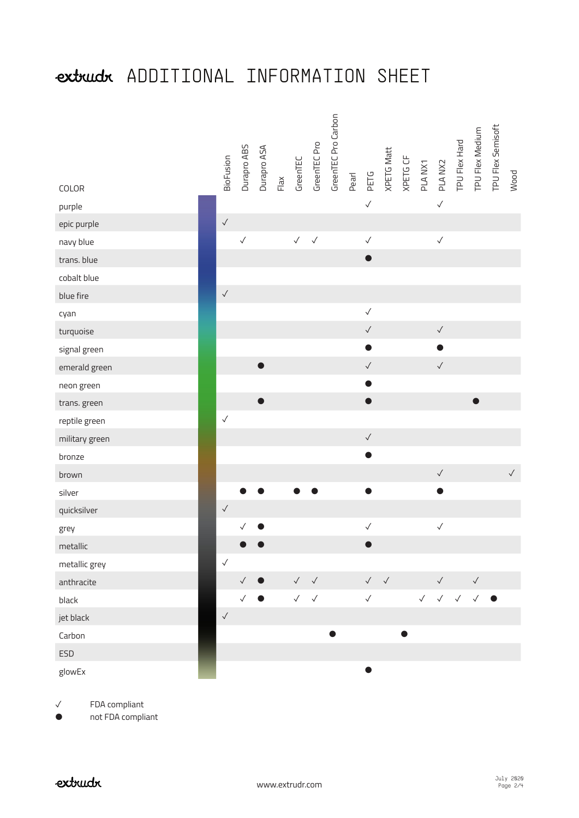# extruct ADDITIONAL INFORMATION SHEET

| COLOR          | <b>BioFusion</b> | Durapro ABS  | Durapro ASA | Flax | GreenTEC     | GreenTEC Pro | GreenTEC Pro Carbon | Pearl | PETG         | <b>XPETG Matt</b> | XPETG CF | PLA NX1      | PLA NX2      | TPU Flex Hard | TPU Flex Medium        | TPU Flex Semisoft | Wood         |
|----------------|------------------|--------------|-------------|------|--------------|--------------|---------------------|-------|--------------|-------------------|----------|--------------|--------------|---------------|------------------------|-------------------|--------------|
| purple         |                  |              |             |      |              |              |                     |       | $\checkmark$ |                   |          |              | $\checkmark$ |               |                        |                   |              |
| epic purple    | $\checkmark$     |              |             |      |              |              |                     |       |              |                   |          |              |              |               |                        |                   |              |
| navy blue      |                  | $\checkmark$ |             |      | $\sqrt{ }$   | $\checkmark$ |                     |       | $\checkmark$ |                   |          |              | $\checkmark$ |               |                        |                   |              |
| trans. blue    |                  |              |             |      |              |              |                     |       | O            |                   |          |              |              |               |                        |                   |              |
| cobalt blue    |                  |              |             |      |              |              |                     |       |              |                   |          |              |              |               |                        |                   |              |
| blue fire      | $\checkmark$     |              |             |      |              |              |                     |       |              |                   |          |              |              |               |                        |                   |              |
| cyan           |                  |              |             |      |              |              |                     |       | $\checkmark$ |                   |          |              |              |               |                        |                   |              |
| turquoise      |                  |              |             |      |              |              |                     |       | $\checkmark$ |                   |          |              | $\checkmark$ |               |                        |                   |              |
| signal green   |                  |              |             |      |              |              |                     |       |              |                   |          |              |              |               |                        |                   |              |
| emerald green  |                  |              |             |      |              |              |                     |       | $\checkmark$ |                   |          |              | $\checkmark$ |               |                        |                   |              |
| neon green     |                  |              |             |      |              |              |                     |       |              |                   |          |              |              |               |                        |                   |              |
| trans. green   |                  |              |             |      |              |              |                     |       |              |                   |          |              |              |               |                        |                   |              |
| reptile green  | $\checkmark$     |              |             |      |              |              |                     |       |              |                   |          |              |              |               |                        |                   |              |
| military green |                  |              |             |      |              |              |                     |       | $\checkmark$ |                   |          |              |              |               |                        |                   |              |
| bronze         |                  |              |             |      |              |              |                     |       |              |                   |          |              |              |               |                        |                   |              |
| brown          |                  |              |             |      |              |              |                     |       |              |                   |          |              | $\checkmark$ |               |                        |                   | $\checkmark$ |
| silver         |                  |              |             |      |              |              |                     |       | ●            |                   |          |              | $\bullet$    |               |                        |                   |              |
| quicksilver    | $\checkmark$     |              |             |      |              |              |                     |       |              |                   |          |              |              |               |                        |                   |              |
| grey           |                  | $\checkmark$ |             |      |              |              |                     |       | $\checkmark$ |                   |          |              | $\checkmark$ |               |                        |                   |              |
| metallic       |                  |              |             |      |              |              |                     |       |              |                   |          |              |              |               |                        |                   |              |
| metallic grey  | $\checkmark$     |              |             |      |              |              |                     |       |              |                   |          |              |              |               |                        |                   |              |
| anthracite     |                  | $\checkmark$ |             |      | $\checkmark$ | $\checkmark$ |                     |       | $\checkmark$ | $\checkmark$      |          |              | $\checkmark$ |               | $\checkmark$           |                   |              |
| black          |                  | $\checkmark$ |             |      | $\checkmark$ | $\checkmark$ |                     |       | $\checkmark$ |                   |          | $\checkmark$ | $\checkmark$ | $\checkmark$  | $\checkmark$ $\bullet$ |                   |              |
| jet black      | $\checkmark$     |              |             |      |              |              |                     |       |              |                   |          |              |              |               |                        |                   |              |
| Carbon         |                  |              |             |      |              |              |                     |       |              |                   |          |              |              |               |                        |                   |              |
| <b>ESD</b>     |                  |              |             |      |              |              |                     |       |              |                   |          |              |              |               |                        |                   |              |
| glowEx         |                  |              |             |      |              |              |                     |       |              |                   |          |              |              |               |                        |                   |              |

✓ FDA compliant

● not FDA compliant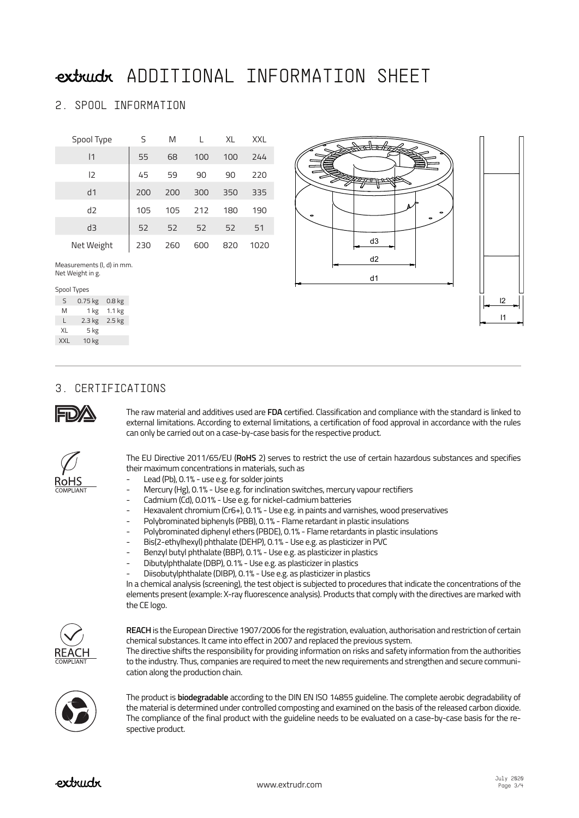### extruct ADDITIONAL INFORMATION SHEET

#### 2. SPOOL INFORMATION

| Spool Type   | S   | M   |     | XL  | <b>XXL</b> |
|--------------|-----|-----|-----|-----|------------|
| $\mathsf{I}$ | 55  | 68  | 100 | 100 | 244        |
| 12           | 45  | 59  | 90  | 90  | 220        |
| d1           | 200 | 200 | 300 | 350 | 335        |
| d2           | 105 | 105 | 212 | 180 | 190        |
| d3           | 52  | 52  | 52  | 52  | 51         |
| Net Weight   | 230 | 260 | 600 | 820 | 1020       |

Measurements (l, d) in mm. Net Weight in g.

#### Spool Types

| S          | $0.75$ kg | 0.8 <sub>kg</sub> |
|------------|-----------|-------------------|
| M          | 1 kg      | 1.1 <sub>kg</sub> |
| L          | $2.3$ kg  | $2.5$ kg          |
| XL         | 5 kg      |                   |
| <b>XXL</b> | 10 kg     |                   |



#### 3. CERTIFICATIONS



RoHS

The raw material and additives used are **FDA** certified. Classification and compliance with the standard is linked to external limitations. According to external limitations, a certification of food approval in accordance with the rules can only be carried out on a case-by-case basis for the respective product.

The EU Directive 2011/65/EU (**RoHS** 2) serves to restrict the use of certain hazardous substances and specifies their maximum concentrations in materials, such as

- Lead (Pb), 0.1% use e.g. for solder joints
- Mercury (Hg), 0.1% Use e.g. for inclination switches, mercury vapour rectifiers
- Cadmium (Cd), 0.01% Use e.g. for nickel-cadmium batteries
- Hexavalent chromium (Cr6+), 0.1% Use e.g. in paints and varnishes, wood preservatives
- Polybrominated biphenyls (PBB), 0.1% Flame retardant in plastic insulations
- Polybrominated diphenyl ethers (PBDE), 0.1% Flame retardants in plastic insulations
- Bis(2-ethylhexyl) phthalate (DEHP), 0.1% Use e.g. as plasticizer in PVC
- Benzyl butyl phthalate (BBP), 0.1% Use e.g. as plasticizer in plastics
- Dibutylphthalate (DBP), 0.1% Use e.g. as plasticizer in plastics
- Diisobutylphthalate (DIBP), 0.1% Use e.g. as plasticizer in plastics

In a chemical analysis (screening), the test object is subjected to procedures that indicate the concentrations of the elements present (example: X-ray fluorescence analysis). Products that comply with the directives are marked with the CE logo.



**REACH** is the European Directive 1907/2006 for the registration, evaluation, authorisation and restriction of certain chemical substances. It came into effect in 2007 and replaced the previous system.

The directive shifts the responsibility for providing information on risks and safety information from the authorities to the industry. Thus, companies are required to meet the new requirements and strengthen and secure communication along the production chain.



The product is **biodegradable** according to the DIN EN ISO 14855 guideline. The complete aerobic degradability of the material is determined under controlled composting and examined on the basis of the released carbon dioxide. The compliance of the final product with the guideline needs to be evaluated on a case-by-case basis for the respective product.